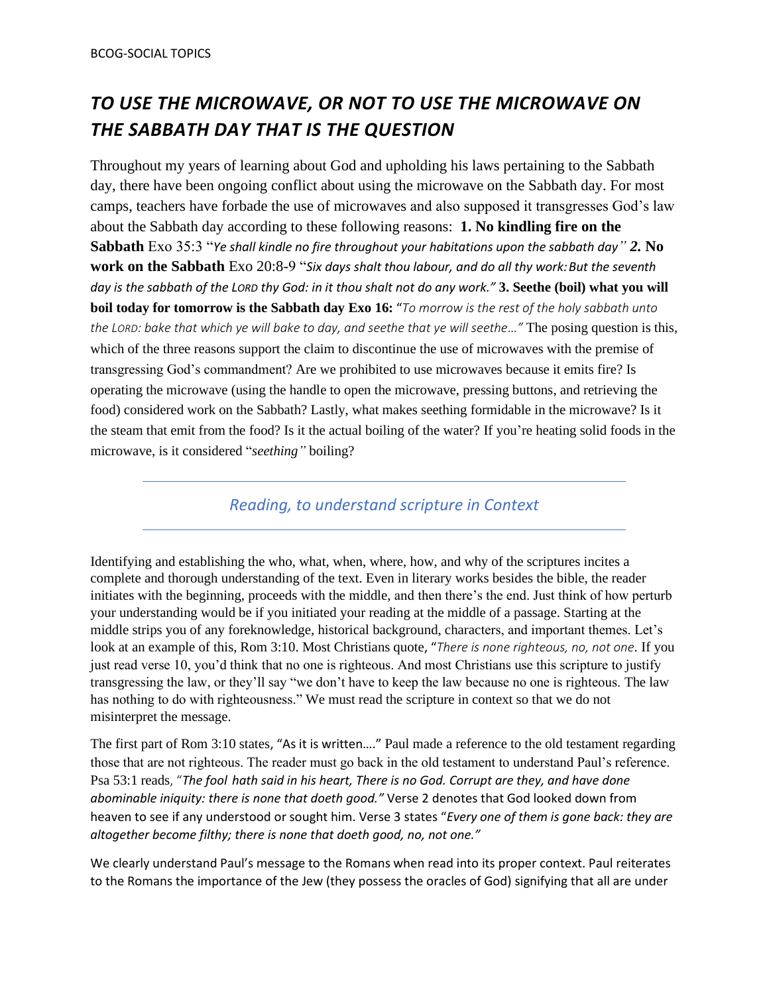#### *TO USE THE MICROWAVE, OR NOT TO USE THE MICROWAVE ON THE SABBATH DAY THAT IS THE QUESTION*

Throughout my years of learning about God and upholding his laws pertaining to the Sabbath day, there have been ongoing conflict about using the microwave on the Sabbath day. For most camps, teachers have forbade the use of microwaves and also supposed it transgresses God's law about the Sabbath day according to these following reasons: **1. No kindling fire on the Sabbath** Exo 35:3 "*Ye shall kindle no fire throughout your habitations upon the sabbath day" 2.* **No**  work on the Sabbath Exo 20:8-9 "Six days shalt thou labour, and do all thy work: But the seventh *day is the sabbath of the LORD thy God: in it thou shalt not do any work."* **3. Seethe (boil) what you will boil today for tomorrow is the Sabbath day Exo 16:** "*To morrow is the rest of the holy sabbath unto the LORD: bake that which ye will bake to day, and seethe that ye will seethe…"* The posing question is this, which of the three reasons support the claim to discontinue the use of microwaves with the premise of transgressing God's commandment? Are we prohibited to use microwaves because it emits fire? Is operating the microwave (using the handle to open the microwave, pressing buttons, and retrieving the food) considered work on the Sabbath? Lastly, what makes seething formidable in the microwave? Is it the steam that emit from the food? Is it the actual boiling of the water? If you're heating solid foods in the microwave, is it considered "*seething"* boiling?

*Reading, to understand scripture in Context*

Identifying and establishing the who, what, when, where, how, and why of the scriptures incites a complete and thorough understanding of the text. Even in literary works besides the bible, the reader initiates with the beginning, proceeds with the middle, and then there's the end. Just think of how perturb your understanding would be if you initiated your reading at the middle of a passage. Starting at the middle strips you of any foreknowledge, historical background, characters, and important themes. Let's look at an example of this, Rom 3:10. Most Christians quote, "*There is none righteous, no, not one.* If you just read verse 10, you'd think that no one is righteous. And most Christians use this scripture to justify transgressing the law, or they'll say "we don't have to keep the law because no one is righteous. The law has nothing to do with righteousness." We must read the scripture in context so that we do not misinterpret the message.

The first part of Rom 3:10 states, "As it is written…." Paul made a reference to the old testament regarding those that are not righteous. The reader must go back in the old testament to understand Paul's reference. Psa 53:1 reads, "*The fool hath said in his heart, There is no God. Corrupt are they, and have done abominable iniquity: there is none that doeth good."* Verse 2 denotes that God looked down from heaven to see if any understood or sought him. Verse 3 states "*Every one of them is gone back: they are altogether become filthy; there is none that doeth good, no, not one."*

We clearly understand Paul's message to the Romans when read into its proper context. Paul reiterates to the Romans the importance of the Jew (they possess the oracles of God) signifying that all are under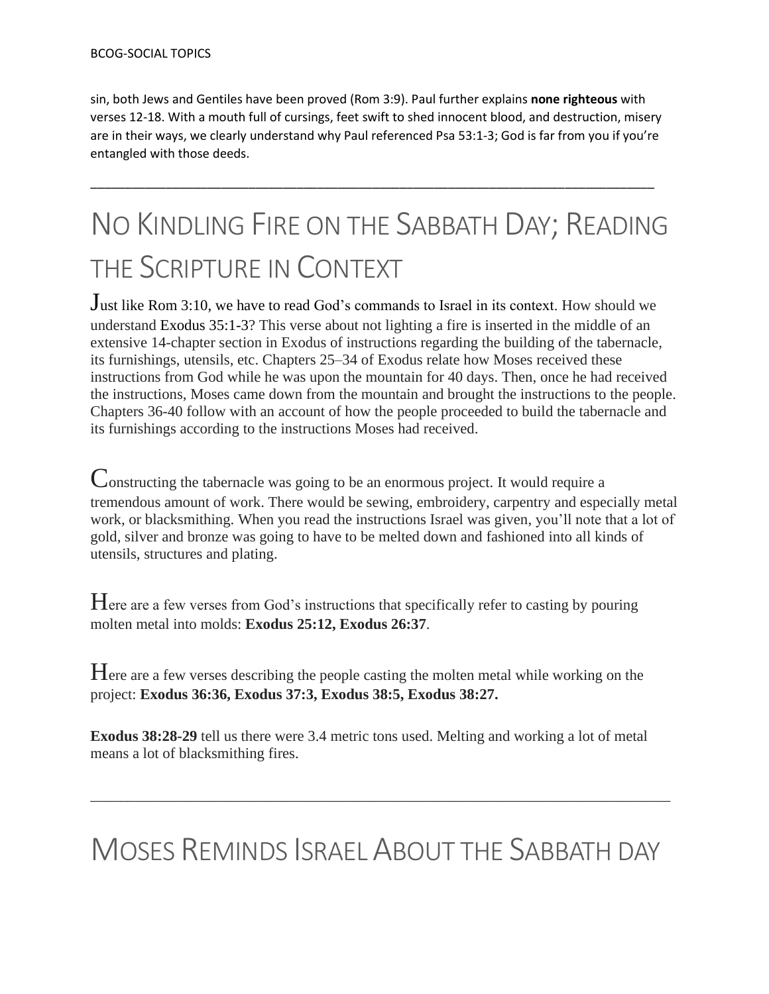sin, both Jews and Gentiles have been proved (Rom 3:9). Paul further explains **none righteous** with verses 12-18. With a mouth full of cursings, feet swift to shed innocent blood, and destruction, misery are in their ways, we clearly understand why Paul referenced Psa 53:1-3; God is far from you if you're entangled with those deeds.

\_\_\_\_\_\_\_\_\_\_\_\_\_\_\_\_\_\_\_\_\_\_\_\_\_\_\_\_\_\_\_\_\_\_\_\_\_\_\_\_\_\_\_\_\_\_\_\_\_\_\_\_\_\_\_\_\_\_\_\_\_\_\_\_\_\_\_\_\_\_\_\_\_\_\_\_\_\_\_\_\_\_

## NO KINDLING FIRE ON THE SABBATH DAY; READING THE SCRIPTURE IN CONTEXT

Just like Rom 3:10, we have to read God's commands to Israel in its context. How should we understand Exodus 35:1-3? This verse about not lighting a fire is inserted in the middle of an extensive 14-chapter section in Exodus of instructions regarding the building of the tabernacle, its furnishings, utensils, etc. Chapters 25–34 of Exodus relate how Moses received these instructions from God while he was upon the mountain for 40 days. Then, once he had received the instructions, Moses came down from the mountain and brought the instructions to the people. Chapters 36-40 follow with an account of how the people proceeded to build the tabernacle and its furnishings according to the instructions Moses had received.

Constructing the tabernacle was going to be an enormous project. It would require a tremendous amount of work. There would be sewing, embroidery, carpentry and especially metal work, or blacksmithing. When you read the instructions Israel was given, you'll note that a lot of gold, silver and bronze was going to have to be melted down and fashioned into all kinds of utensils, structures and plating.

Here are a few verses from God's instructions that specifically refer to casting by pouring molten metal into molds: **Exodus 25:12, Exodus 26:37**.

Here are a few verses describing the people casting the molten metal while working on the project: **Exodus 36:36, Exodus 37:3, Exodus 38:5, Exodus 38:27.**

**Exodus 38:28-29** tell us there were 3.4 metric tons used. Melting and working a lot of metal means a lot of blacksmithing fires.

### MOSES REMINDS ISRAEL ABOUT THE SABBATH DAY

\_\_\_\_\_\_\_\_\_\_\_\_\_\_\_\_\_\_\_\_\_\_\_\_\_\_\_\_\_\_\_\_\_\_\_\_\_\_\_\_\_\_\_\_\_\_\_\_\_\_\_\_\_\_\_\_\_\_\_\_\_\_\_\_\_\_\_\_\_\_\_\_\_\_\_\_\_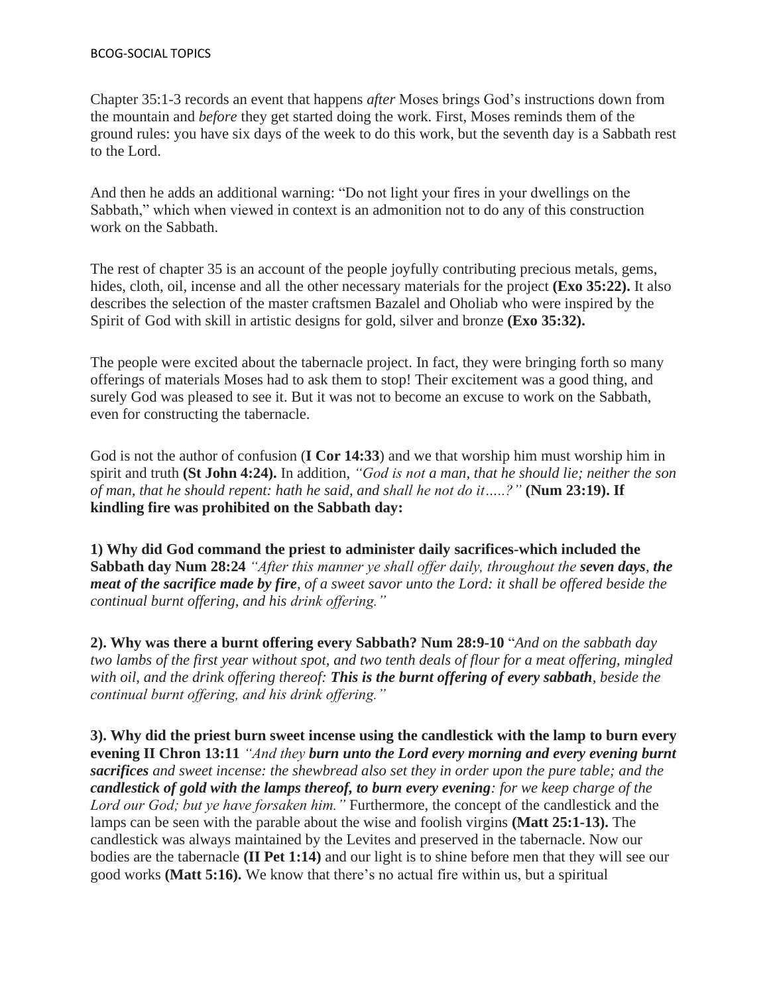Chapter 35:1-3 records an event that happens *after* Moses brings God's instructions down from the mountain and *before* they get started doing the work. First, Moses reminds them of the ground rules: you have six days of the week to do this work, but the seventh day is a Sabbath rest to the Lord.

And then he adds an additional warning: "Do not light your fires in your dwellings on the Sabbath," which when viewed in context is an admonition not to do any of this construction work on the Sabbath.

The rest of chapter 35 is an account of the people joyfully contributing precious metals, gems, hides, cloth, oil, incense and all the other necessary materials for the project **(Exo 35:22).** It also describes the selection of the master craftsmen Bazalel and Oholiab who were inspired by the Spirit of God with skill in artistic designs for gold, silver and bronze **(Exo 35:32).**

The people were excited about the tabernacle project. In fact, they were bringing forth so many offerings of materials Moses had to ask them to stop! Their excitement was a good thing, and surely God was pleased to see it. But it was not to become an excuse to work on the Sabbath, even for constructing the tabernacle.

God is not the author of confusion (**I Cor 14:33**) and we that worship him must worship him in spirit and truth **(St John 4:24).** In addition, *"God is not a man, that he should lie; neither the son of man, that he should repent: hath he said, and shall he not do it…..?"* **(Num 23:19). If kindling fire was prohibited on the Sabbath day:**

**1) Why did God command the priest to administer daily sacrifices-which included the Sabbath day Num 28:24** *"After this manner ye shall offer daily, throughout the seven days, the meat of the sacrifice made by fire, of a sweet savor unto the Lord: it shall be offered beside the continual burnt offering, and his drink offering."* 

**2). Why was there a burnt offering every Sabbath? Num 28:9-10** "*And on the sabbath day two lambs of the first year without spot, and two tenth deals of flour for a meat offering, mingled with oil, and the drink offering thereof: This is the burnt offering of every sabbath, beside the continual burnt offering, and his drink offering."*

**3). Why did the priest burn sweet incense using the candlestick with the lamp to burn every evening II Chron 13:11** *"And they burn unto the Lord every morning and every evening burnt sacrifices and sweet incense: the shewbread also set they in order upon the pure table; and the candlestick of gold with the lamps thereof, to burn every evening: for we keep charge of the Lord our God; but ye have forsaken him."* Furthermore, the concept of the candlestick and the lamps can be seen with the parable about the wise and foolish virgins **(Matt 25:1-13).** The candlestick was always maintained by the Levites and preserved in the tabernacle. Now our bodies are the tabernacle **(II Pet 1:14)** and our light is to shine before men that they will see our good works **(Matt 5:16).** We know that there's no actual fire within us, but a spiritual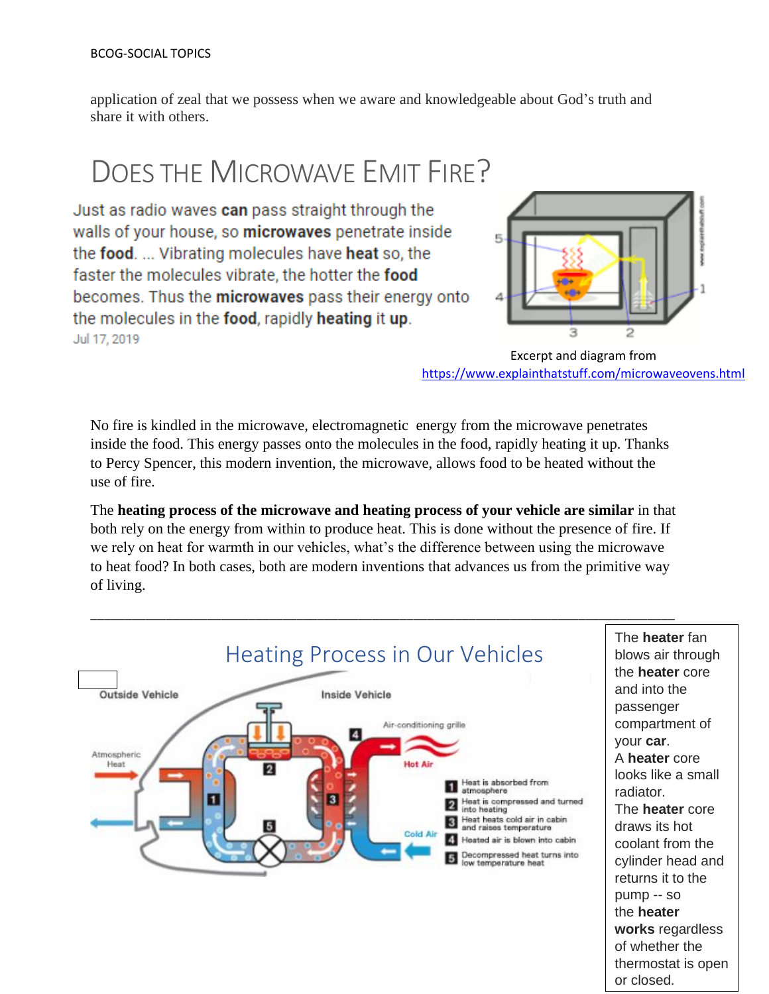application of zeal that we possess when we aware and knowledgeable about God's truth and share it with others.

## DOES THE MICROWAVE EMIT FIRE?

Just as radio waves can pass straight through the walls of your house, so microwaves penetrate inside the food. ... Vibrating molecules have heat so, the faster the molecules vibrate, the hotter the food becomes. Thus the microwaves pass their energy onto the molecules in the food, rapidly heating it up. Jul 17, 2019



Excerpt and diagram from <https://www.explainthatstuff.com/microwaveovens.html>

No fire is kindled in the microwave, electromagnetic energy from the microwave penetrates inside the food. This energy passes onto the molecules in the food, rapidly heating it up. Thanks to Percy Spencer, this modern invention, the microwave, allows food to be heated without the use of fire.

The **heating process of the microwave and heating process of your vehicle are similar** in that both rely on the energy from within to produce heat. This is done without the presence of fire. If we rely on heat for warmth in our vehicles, what's the difference between using the microwave to heat food? In both cases, both are modern inventions that advances us from the primitive way of living.

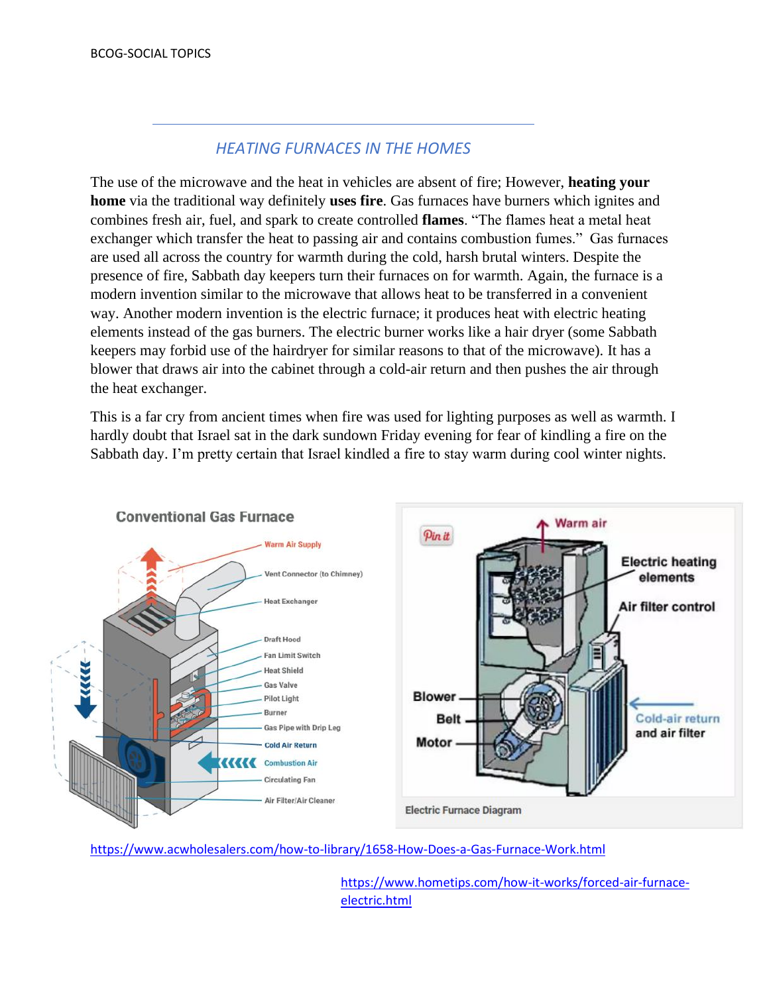#### Excerpt and diagram from [https://www.nissan-](https://www.nissan-global.com/EN/TECHNOLOGY/OVERVIEW/heat_pump_cabin_heater.html)**HEATING FURNACES IN THE HOMES**

The use of the microwave and the heat in vehicles are absent of fire; However, **heating your home** via the traditional way definitely **uses fire**. Gas furnaces have burners which ignites and combines fresh air, fuel, and spark to create controlled **flames**. "The flames heat a metal heat exchanger which transfer the heat to passing air and contains combustion fumes." Gas furnaces are used all across the country for warmth during the cold, harsh brutal winters. Despite the presence of fire, Sabbath day keepers turn their furnaces on for warmth. Again, the furnace is a modern invention similar to the microwave that allows heat to be transferred in a convenient way. Another modern invention is the electric furnace; it produces heat with electric heating elements instead of the gas burners. The electric burner works like a hair dryer (some Sabbath keepers may forbid use of the hairdryer for similar reasons to that of the microwave). It has a blower that draws air into the cabinet through a cold-air return and then pushes the air through the heat exchanger.

This is a far cry from ancient times when fire was used for lighting purposes as well as warmth. I hardly doubt that Israel sat in the dark sundown Friday evening for fear of kindling a fire on the Sabbath day. I'm pretty certain that Israel kindled a fire to stay warm during cool winter nights.



<https://www.acwholesalers.com/how-to-library/1658-How-Does-a-Gas-Furnace-Work.html>

[https://www.hometips.com/how-it-works/forced-air-furnace](https://www.hometips.com/how-it-works/forced-air-furnace-electric.html)[electric.html](https://www.hometips.com/how-it-works/forced-air-furnace-electric.html)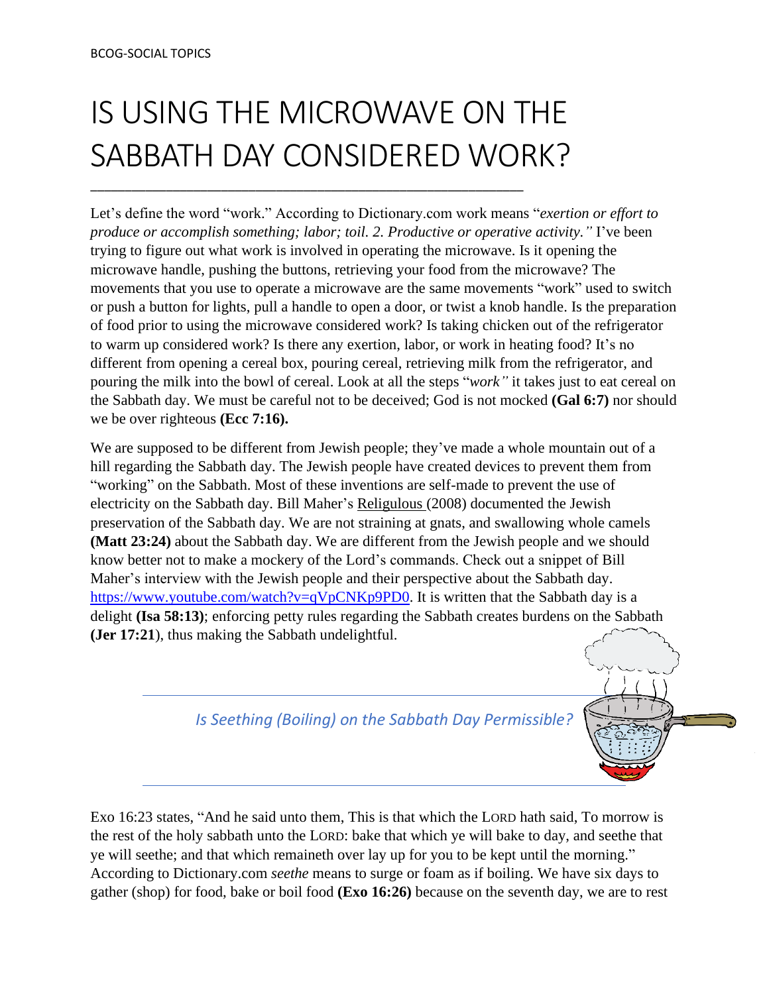# IS USING THE MICROWAVE ON THE SABBATH DAY CONSIDERED WORK?

\_\_\_\_\_\_\_\_\_\_\_\_\_\_\_\_\_\_\_\_\_\_\_\_\_\_\_\_\_\_\_\_\_\_\_\_\_\_\_\_\_\_\_\_\_\_\_\_\_\_\_\_\_\_\_\_\_\_\_\_\_\_\_

Let's define the word "work." According to Dictionary.com work means "*exertion or effort to produce or accomplish something; labor; toil. 2. Productive or operative activity."* I've been trying to figure out what work is involved in operating the microwave. Is it opening the microwave handle, pushing the buttons, retrieving your food from the microwave? The movements that you use to operate a microwave are the same movements "work" used to switch or push a button for lights, pull a handle to open a door, or twist a knob handle. Is the preparation of food prior to using the microwave considered work? Is taking chicken out of the refrigerator to warm up considered work? Is there any exertion, labor, or work in heating food? It's no different from opening a cereal box, pouring cereal, retrieving milk from the refrigerator, and pouring the milk into the bowl of cereal. Look at all the steps "*work"* it takes just to eat cereal on the Sabbath day. We must be careful not to be deceived; God is not mocked **(Gal 6:7)** nor should we be over righteous **(Ecc 7:16).**

We are supposed to be different from Jewish people; they've made a whole mountain out of a hill regarding the Sabbath day. The Jewish people have created devices to prevent them from "working" on the Sabbath. Most of these inventions are self-made to prevent the use of electricity on the Sabbath day. Bill Maher's Religulous (2008) documented the Jewish preservation of the Sabbath day. We are not straining at gnats, and swallowing whole camels **(Matt 23:24)** about the Sabbath day. We are different from the Jewish people and we should know better not to make a mockery of the Lord's commands. Check out a snippet of Bill Maher's interview with the Jewish people and their perspective about the Sabbath day. [https://www.youtube.com/watch?v=qVpCNKp9PD0.](https://www.youtube.com/watch?v=qVpCNKp9PD0) It is written that the Sabbath day is a delight **(Isa 58:13)**; enforcing petty rules regarding the Sabbath creates burdens on the Sabbath **(Jer 17:21**), thus making the Sabbath undelightful.

*Is Seething (Boiling) on the Sabbath Day Permissible?*

Exo 16:23 states, "And he said unto them, This is that which the LORD hath said, To morrow is the rest of the holy sabbath unto the LORD: bake that which ye will bake to day, and seethe that ye will seethe; and that which remaineth over lay up for you to be kept until the morning." According to Dictionary.com *seethe* means to surge or foam as if boiling. We have six days to gather (shop) for food, bake or boil food **(Exo 16:26)** because on the seventh day, we are to rest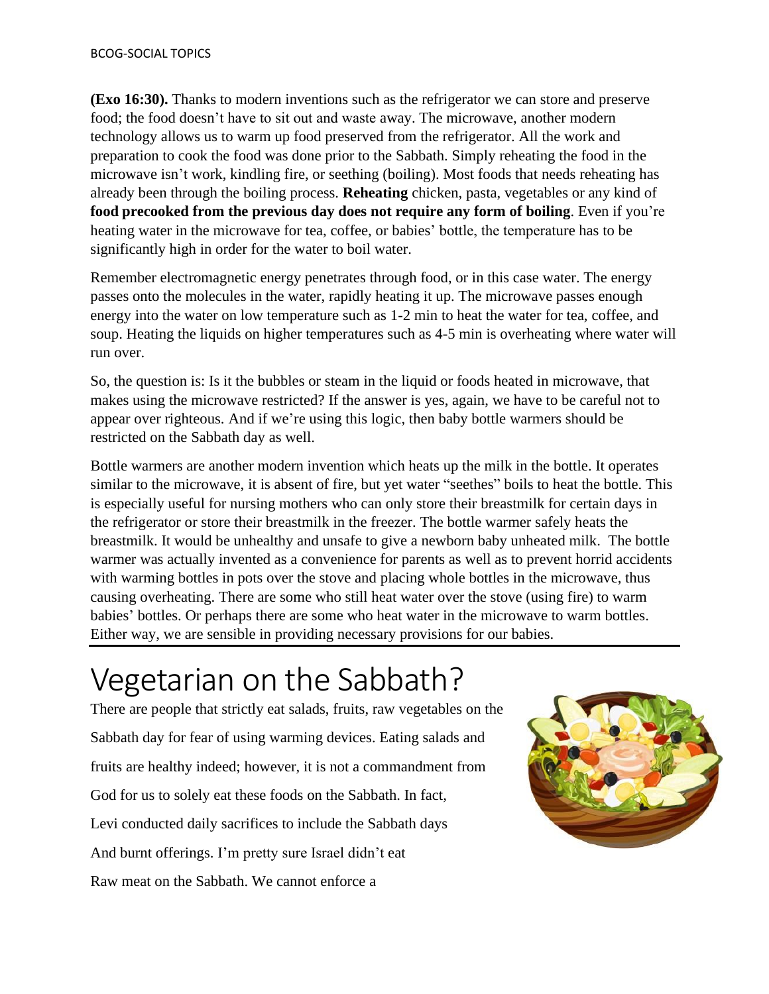**(Exo 16:30).** Thanks to modern inventions such as the refrigerator we can store and preserve food; the food doesn't have to sit out and waste away. The microwave, another modern technology allows us to warm up food preserved from the refrigerator. All the work and preparation to cook the food was done prior to the Sabbath. Simply reheating the food in the microwave isn't work, kindling fire, or seething (boiling). Most foods that needs reheating has already been through the boiling process. **Reheating** chicken, pasta, vegetables or any kind of **food precooked from the previous day does not require any form of boiling**. Even if you're heating water in the microwave for tea, coffee, or babies' bottle, the temperature has to be significantly high in order for the water to boil water.

Remember electromagnetic energy penetrates through food, or in this case water. The energy passes onto the molecules in the water, rapidly heating it up. The microwave passes enough energy into the water on low temperature such as 1-2 min to heat the water for tea, coffee, and soup. Heating the liquids on higher temperatures such as 4-5 min is overheating where water will run over.

So, the question is: Is it the bubbles or steam in the liquid or foods heated in microwave, that makes using the microwave restricted? If the answer is yes, again, we have to be careful not to appear over righteous. And if we're using this logic, then baby bottle warmers should be restricted on the Sabbath day as well.

Bottle warmers are another modern invention which heats up the milk in the bottle. It operates similar to the microwave, it is absent of fire, but yet water "seethes" boils to heat the bottle. This is especially useful for nursing mothers who can only store their breastmilk for certain days in the refrigerator or store their breastmilk in the freezer. The bottle warmer safely heats the breastmilk. It would be unhealthy and unsafe to give a newborn baby unheated milk. The bottle warmer was actually invented as a convenience for parents as well as to prevent horrid accidents with warming bottles in pots over the stove and placing whole bottles in the microwave, thus causing overheating. There are some who still heat water over the stove (using fire) to warm babies' bottles. Or perhaps there are some who heat water in the microwave to warm bottles. Either way, we are sensible in providing necessary provisions for our babies.

## Vegetarian on the Sabbath?

There are people that strictly eat salads, fruits, raw vegetables on the Sabbath day for fear of using warming devices. Eating salads and fruits are healthy indeed; however, it is not a commandment from God for us to solely eat these foods on the Sabbath. In fact, Levi conducted daily sacrifices to include the Sabbath days And burnt offerings. I'm pretty sure Israel didn't eat Raw meat on the Sabbath. We cannot enforce a